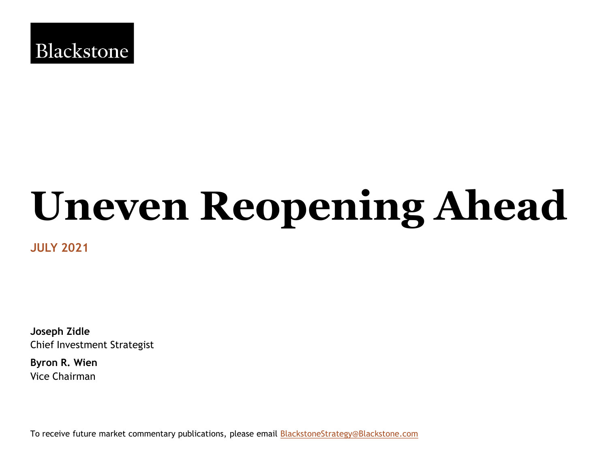

# **Uneven Reopening Ahead**

**JULY 2021**

**Joseph Zidle** Chief Investment Strategist

**Byron R. Wien**  Vice Chairman

To receive future market commentary publications, please email **[BlackstoneStrategy@Blackstone.com](mailto:BlackstoneStrategy@Blackstone.com)**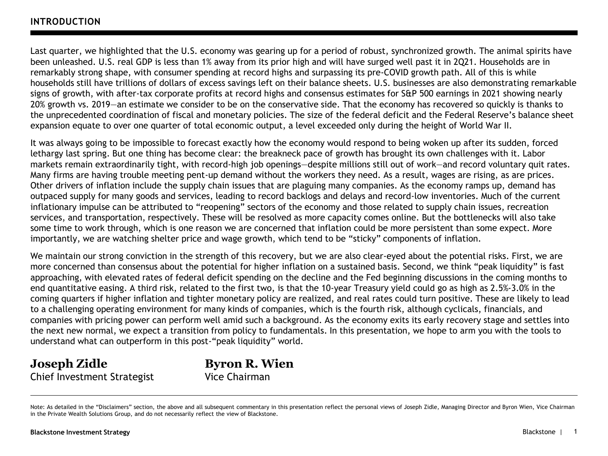Last quarter, we highlighted that the U.S. economy was gearing up for a period of robust, synchronized growth. The animal spirits have been unleashed. U.S. real GDP is less than 1% away from its prior high and will have surged well past it in 2Q21. Households are in remarkably strong shape, with consumer spending at record highs and surpassing its pre-COVID growth path. All of this is while households still have trillions of dollars of excess savings left on their balance sheets. U.S. businesses are also demonstrating remarkable signs of growth, with after-tax corporate profits at record highs and consensus estimates for S&P 500 earnings in 2021 showing nearly 20% growth vs. 2019—an estimate we consider to be on the conservative side. That the economy has recovered so quickly is thanks to the unprecedented coordination of fiscal and monetary policies. The size of the federal deficit and the Federal Reserve's balance sheet expansion equate to over one quarter of total economic output, a level exceeded only during the height of World War II.

It was always going to be impossible to forecast exactly how the economy would respond to being woken up after its sudden, forced lethargy last spring. But one thing has become clear: the breakneck pace of growth has brought its own challenges with it. Labor markets remain extraordinarily tight, with record-high job openings—despite millions still out of work—and record voluntary quit rates. Many firms are having trouble meeting pent-up demand without the workers they need. As a result, wages are rising, as are prices. Other drivers of inflation include the supply chain issues that are plaguing many companies. As the economy ramps up, demand has outpaced supply for many goods and services, leading to record backlogs and delays and record-low inventories. Much of the current inflationary impulse can be attributed to "reopening" sectors of the economy and those related to supply chain issues, recreation services, and transportation, respectively. These will be resolved as more capacity comes online. But the bottlenecks will also take some time to work through, which is one reason we are concerned that inflation could be more persistent than some expect. More importantly, we are watching shelter price and wage growth, which tend to be "sticky" components of inflation.

We maintain our strong conviction in the strength of this recovery, but we are also clear-eyed about the potential risks. First, we are more concerned than consensus about the potential for higher inflation on a sustained basis. Second, we think "peak liquidity" is fast approaching, with elevated rates of federal deficit spending on the decline and the Fed beginning discussions in the coming months to end quantitative easing. A third risk, related to the first two, is that the 10-year Treasury yield could go as high as 2.5%-3.0% in the coming quarters if higher inflation and tighter monetary policy are realized, and real rates could turn positive. These are likely to lead to a challenging operating environment for many kinds of companies, which is the fourth risk, although cyclicals, financials, and companies with pricing power can perform well amid such a background. As the economy exits its early recovery stage and settles into the next new normal, we expect a transition from policy to fundamentals. In this presentation, we hope to arm you with the tools to understand what can outperform in this post-"peak liquidity" world.

**Joseph Zidle** Chief Investment Strategist **Byron R. Wien** Vice Chairman

Note: As detailed in the "Disclaimers" section, the above and all subsequent commentary in this presentation reflect the personal views of Joseph Zidle, Managing Director and Byron Wien, Vice Chairman in the Private Wealth Solutions Group, and do not necessarily reflect the view of Blackstone.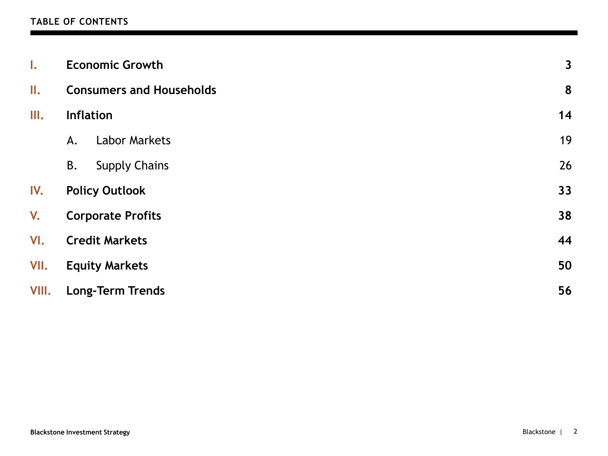#### **TABLE OF CONTENTS**

| $\mathbf{I}$ . | <b>Economic Growth</b>          |    |  |  |  |  |  |  |
|----------------|---------------------------------|----|--|--|--|--|--|--|
| II.            | <b>Consumers and Households</b> |    |  |  |  |  |  |  |
| III.           | <b>Inflation</b>                | 14 |  |  |  |  |  |  |
|                | <b>Labor Markets</b><br>A.      | 19 |  |  |  |  |  |  |
|                | <b>Supply Chains</b><br>В.      | 26 |  |  |  |  |  |  |
| IV.            | <b>Policy Outlook</b>           | 33 |  |  |  |  |  |  |
| V.             | <b>Corporate Profits</b>        |    |  |  |  |  |  |  |
| VI.            | <b>Credit Markets</b>           |    |  |  |  |  |  |  |
| VII.           | <b>Equity Markets</b>           | 50 |  |  |  |  |  |  |
| VIII.          | <b>Long-Term Trends</b>         | 56 |  |  |  |  |  |  |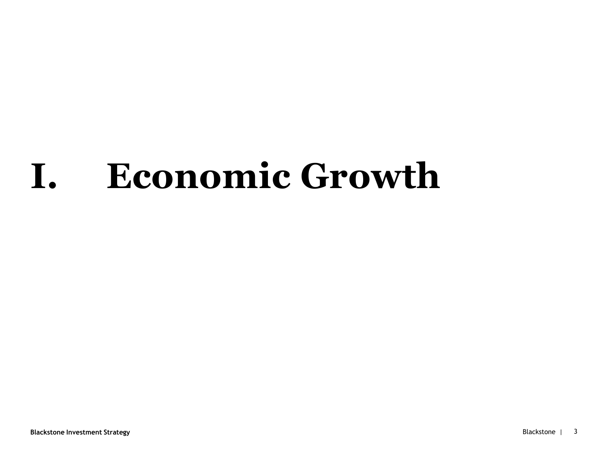# **I. Economic Growth**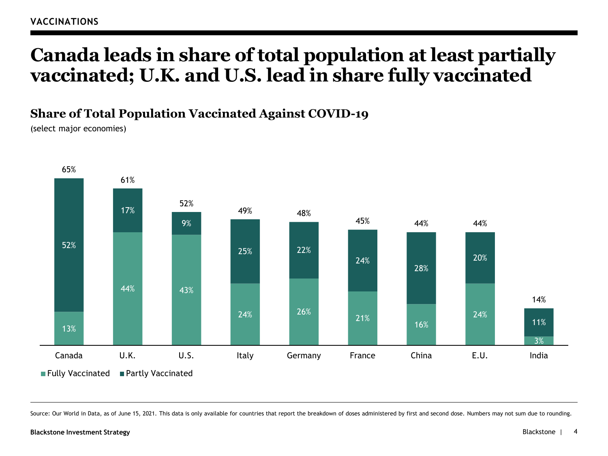## **Canada leads in share of total population at least partially vaccinated; U.K. and U.S. lead in share fully vaccinated**

## **Share of Total Population Vaccinated Against COVID-19**

(select major economies)



Source: Our World in Data, as of June 15, 2021. This data is only available for countries that report the breakdown of doses administered by first and second dose. Numbers may not sum due to rounding.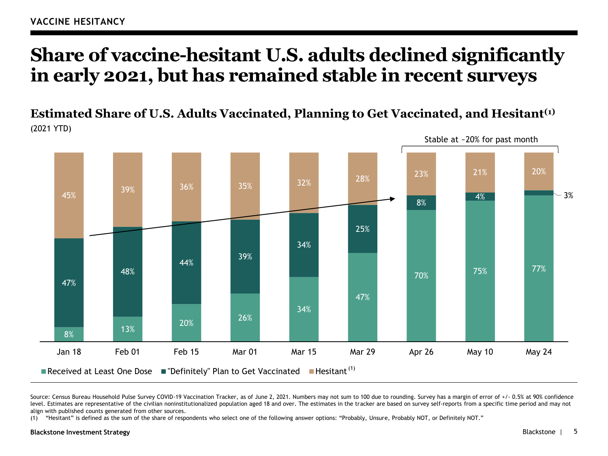## **Share of vaccine-hesitant U.S. adults declined significantly in early 2021, but has remained stable in recent surveys**

**Estimated Share of U.S. Adults Vaccinated, Planning to Get Vaccinated, and Hesitant(1)** (2021 YTD)



Source: Census Bureau Household Pulse Survey COVID-19 Vaccination Tracker, as of June 2, 2021. Numbers may not sum to 100 due to rounding. Survey has a margin of error of +/- 0.5% at 90% confidence level. Estimates are representative of the civilian noninstitutionalized population aged 18 and over. The estimates in the tracker are based on survey self-reports from a specific time period and may not align with published counts generated from other sources.

(1) "Hesitant" is defined as the sum of the share of respondents who select one of the following answer options: "Probably, Unsure, Probably NOT, or Definitely NOT."

#### **Blackstone Investment Strategy** Blackstone |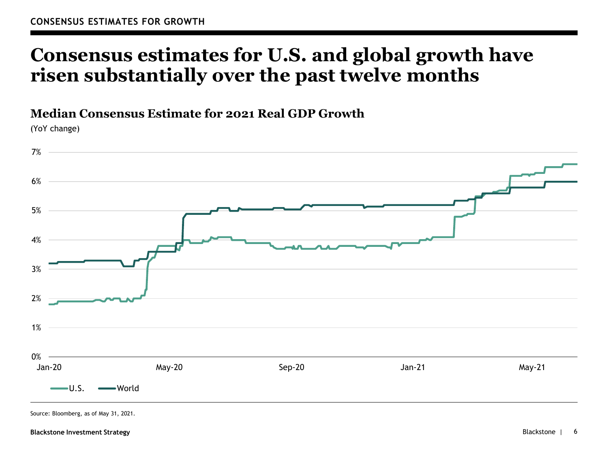## **Consensus estimates for U.S. and global growth have risen substantially over the past twelve months**

#### **Median Consensus Estimate for 2021 Real GDP Growth**

(YoY change)



Source: Bloomberg, as of May 31, 2021.

#### **Blackstone Investment Strategy**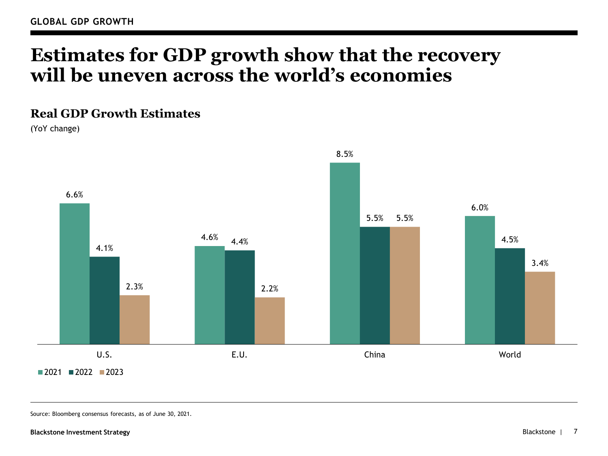## **Estimates for GDP growth show that the recovery will be uneven across the world's economies**

#### **Real GDP Growth Estimates**

(YoY change)



Source: Bloomberg consensus forecasts, as of June 30, 2021.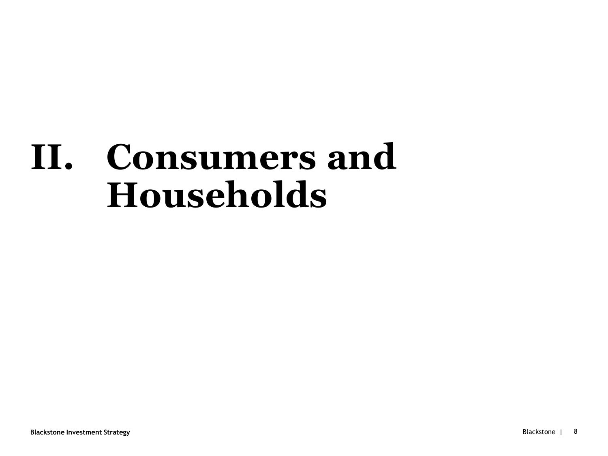# **II. Consumers and Households**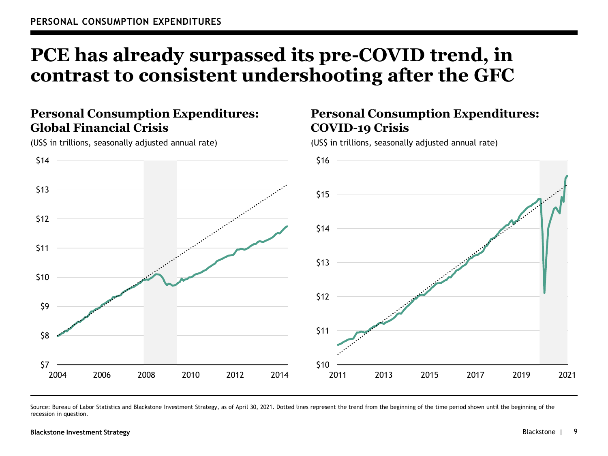# **PCE has already surpassed its pre-COVID trend, in contrast to consistent undershooting after the GFC**

## **Personal Consumption Expenditures: Global Financial Crisis**

\$7 \$8 \$9 \$10 \$11 \$12 \$13 \$14 2004 2006 2008 2010 2012 2014 \$10 \$11 \$12 \$13 \$14 \$15 \$16 2011 2013 2015 2017 2019 2021

(US\$ in trillions, seasonally adjusted annual rate)

### **Personal Consumption Expenditures: COVID-19 Crisis**

(US\$ in trillions, seasonally adjusted annual rate)

Source: Bureau of Labor Statistics and Blackstone Investment Strategy, as of April 30, 2021. Dotted lines represent the trend from the beginning of the time period shown until the beginning of the recession in question.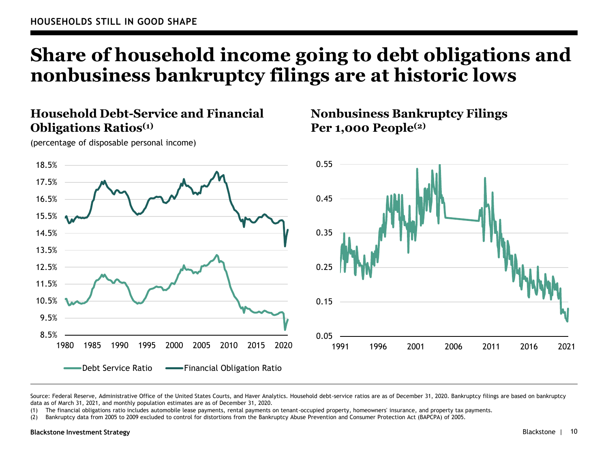# **Share of household income going to debt obligations and nonbusiness bankruptcy filings are at historic lows**

#### **Household Debt-Service and Financial Obligations Ratios(1)**

**Nonbusiness Bankruptcy Filings Per 1,000 People(2)**



Source: Federal Reserve, Administrative Office of the United States Courts, and Haver Analytics. Household debt-service ratios are as of December 31, 2020. Bankruptcy filings are based on bankruptcy data as of March 31, 2021, and monthly population estimates are as of December 31, 2020.

(1) The financial obligations ratio includes automobile lease payments, rental payments on tenant-occupied property, homeowners' insurance, and property tax payments.

(2) Bankruptcy data from 2005 to 2009 excluded to control for distortions from the Bankruptcy Abuse Prevention and Consumer Protection Act (BAPCPA) of 2005.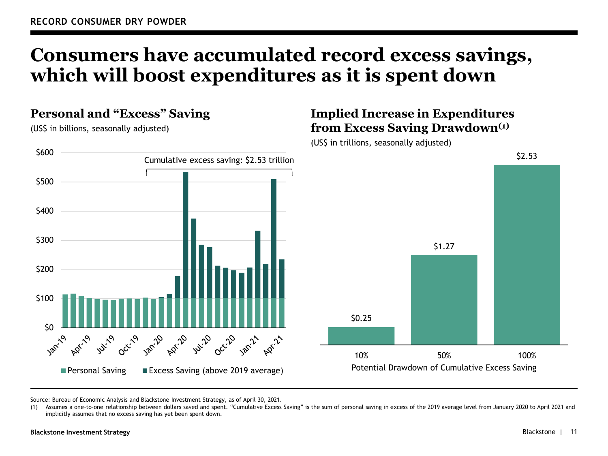## **Consumers have accumulated record excess savings, which will boost expenditures as it is spent down**

#### **Personal and "Excess" Saving**

(US\$ in billions, seasonally adjusted)

### **Implied Increase in Expenditures from Excess Saving Drawdown(1)**





Source: Bureau of Economic Analysis and Blackstone Investment Strategy, as of April 30, 2021.

(1) Assumes a one-to-one relationship between dollars saved and spent. "Cumulative Excess Saving" is the sum of personal saving in excess of the 2019 average level from January 2020 to April 2021 and implicitly assumes that no excess saving has yet been spent down.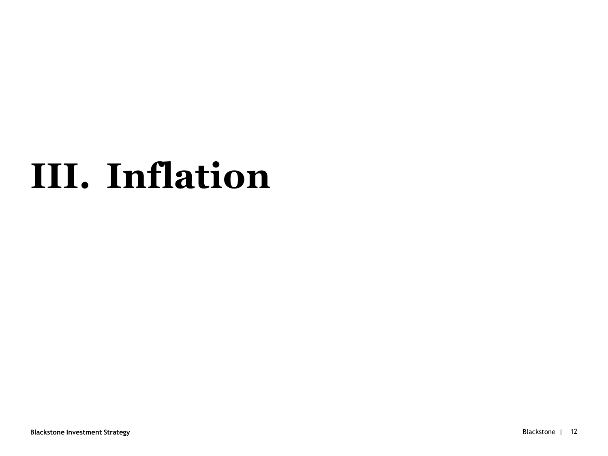# **III. Inflation**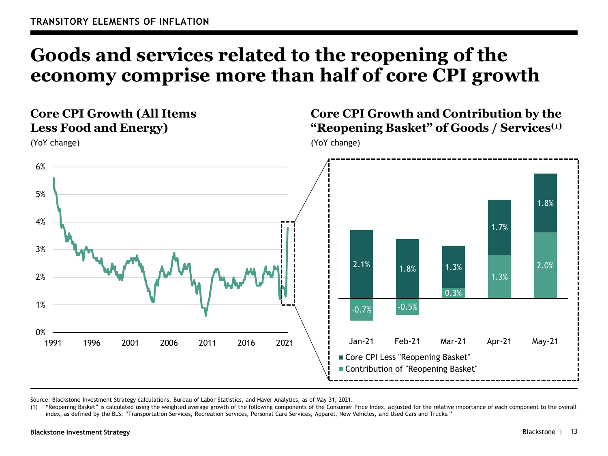## **Goods and services related to the reopening of the economy comprise more than half of core CPI growth**

## **Core CPI Growth (All Items Less Food and Energy)**

(YoY change)

### **Core CPI Growth and Contribution by the "Reopening Basket" of Goods / Services(1)**

(YoY change)



Source: Blackstone Investment Strategy calculations, Bureau of Labor Statistics, and Haver Analytics, as of May 31, 2021.

(1) "Reopening Basket" is calculated using the weighted average growth of the following components of the Consumer Price Index, adjusted for the relative importance of each component to the overall index, as defined by the BLS: "Transportation Services, Recreation Services, Personal Care Services, Apparel, New Vehicles, and Used Cars and Trucks."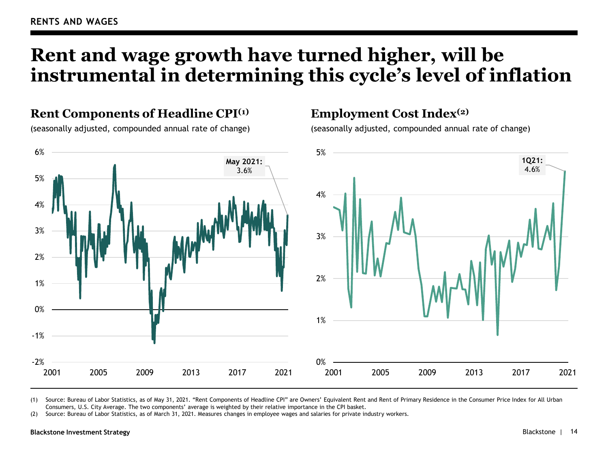# **Rent and wage growth have turned higher, will be instrumental in determining this cycle's level of inflation**

#### **Rent Components of Headline CPI(1)**

(seasonally adjusted, compounded annual rate of change)

#### **Employment Cost Index(2)**

(seasonally adjusted, compounded annual rate of change)



(1) Source: Bureau of Labor Statistics, as of May 31, 2021. "Rent Components of Headline CPI" are Owners' Equivalent Rent and Rent of Primary Residence in the Consumer Price Index for All Urban Consumers, U.S. City Average. The two components' average is weighted by their relative importance in the CPI basket.

(2) Source: Bureau of Labor Statistics, as of March 31, 2021. Measures changes in employee wages and salaries for private industry workers.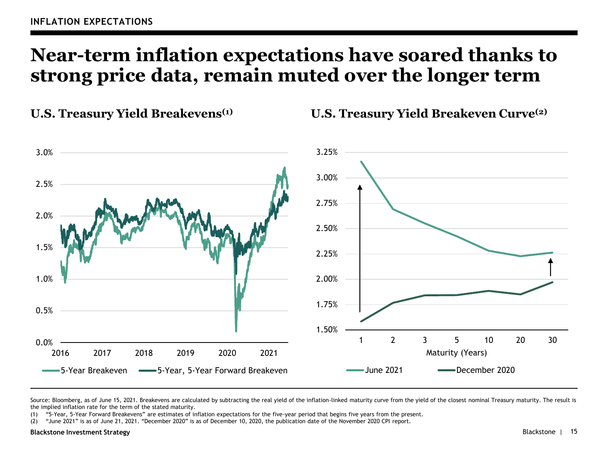## **Near-term inflation expectations have soared thanks to strong price data, remain muted over the longer term**

**U.S. Treasury Yield Breakevens(1) U.S. Treasury Yield Breakeven Curve(2)**



Source: Bloomberg, as of June 15, 2021. Breakevens are calculated by subtracting the real yield of the inflation-linked maturity curve from the yield of the closest nominal Treasury maturity. The result is the implied inflation rate for the term of the stated maturity.

(1) "5-Year, 5-Year Forward Breakevens" are estimates of inflation expectations for the five-year period that begins five years from the present.

(2) "June 2021" is as of June 21, 2021. "December 2020" is as of December 10, 2020, the publication date of the November 2020 CPI report.

#### **Blackstone Investment Strategy**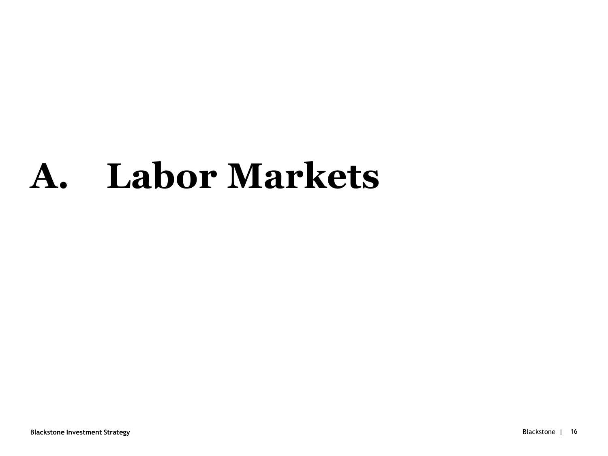# **A. Labor Markets**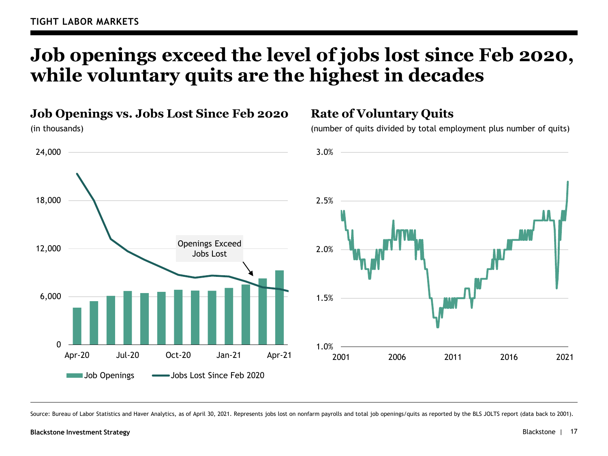# **Job openings exceed the level of jobs lost since Feb 2020, while voluntary quits are the highest in decades**

**Job Openings vs. Jobs Lost Since Feb 2020**

(in thousands)



#### **Rate of Voluntary Quits**

(number of quits divided by total employment plus number of quits)



Source: Bureau of Labor Statistics and Haver Analytics, as of April 30, 2021. Represents jobs lost on nonfarm payrolls and total job openings/quits as reported by the BLS JOLTS report (data back to 2001).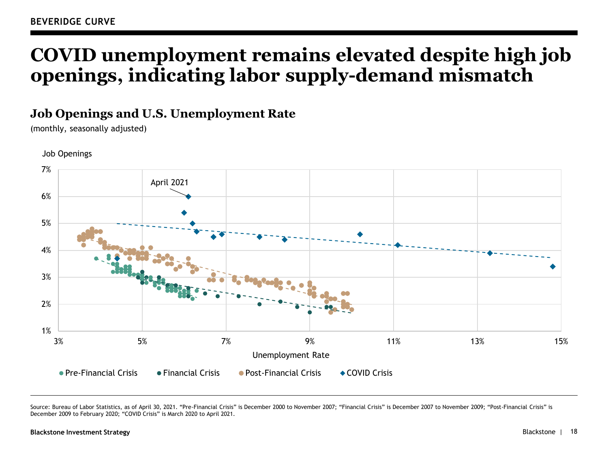# **COVID unemployment remains elevated despite high job openings, indicating labor supply-demand mismatch**

#### **Job Openings and U.S. Unemployment Rate**

(monthly, seasonally adjusted)



Job Openings

Source: Bureau of Labor Statistics, as of April 30, 2021. "Pre-Financial Crisis" is December 2000 to November 2007; "Financial Crisis" is December 2007 to November 2009; "Post-Financial Crisis" is December 2009 to February 2020; "COVID Crisis" is March 2020 to April 2021.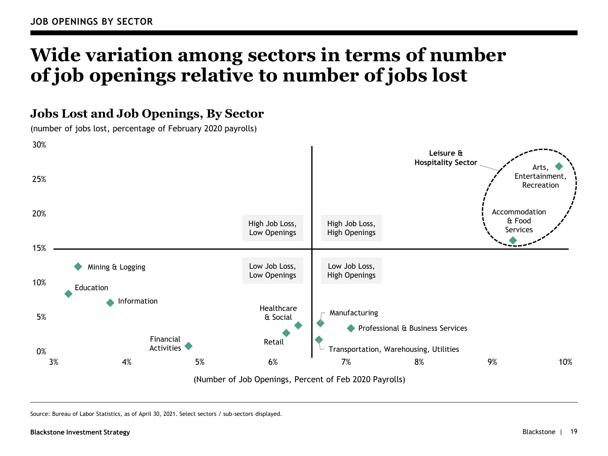# **Wide variation among sectors in terms of number of job openings relative to number of jobs lost**

### **Jobs Lost and Job Openings, By Sector**

(number of jobs lost, percentage of February 2020 payrolls)



Source: Bureau of Labor Statistics, as of April 30, 2021. Select sectors / sub-sectors displayed.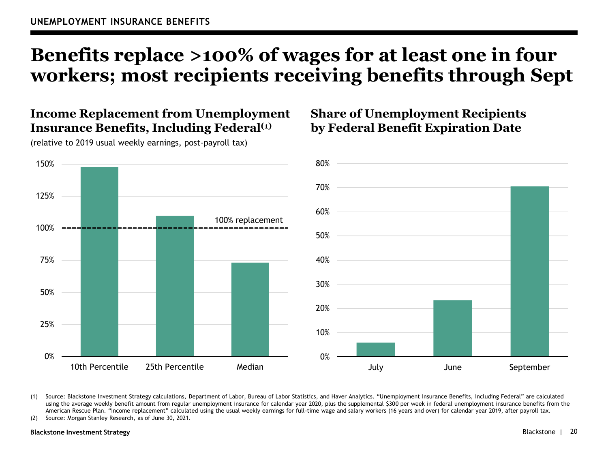# **Benefits replace >100% of wages for at least one in four workers; most recipients receiving benefits through Sept**

#### **Income Replacement from Unemployment Insurance Benefits, Including Federal(1)**

(relative to 2019 usual weekly earnings, post-payroll tax)

0% 25% 50% 75% 100% 125% 150% 10th Percentile 25th Percentile Median 100% replacement

### **Share of Unemployment Recipients by Federal Benefit Expiration Date**



(1) Source: Blackstone Investment Strategy calculations, Department of Labor, Bureau of Labor Statistics, and Haver Analytics. "Unemployment Insurance Benefits, Including Federal" are calculated using the average weekly benefit amount from regular unemployment insurance for calendar year 2020, plus the supplemental \$300 per week in federal unemployment insurance benefits from the American Rescue Plan. "Income replacement" calculated using the usual weekly earnings for full-time wage and salary workers (16 years and over) for calendar year 2019, after payroll tax.

(2) Source: Morgan Stanley Research, as of June 30, 2021.

#### **Blackstone Investment Strategy**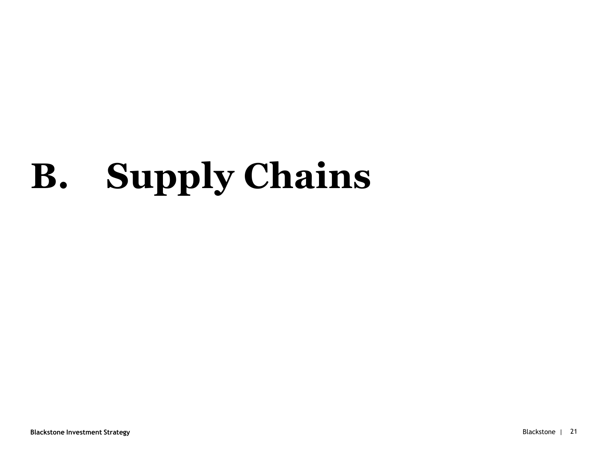# **B. Supply Chains**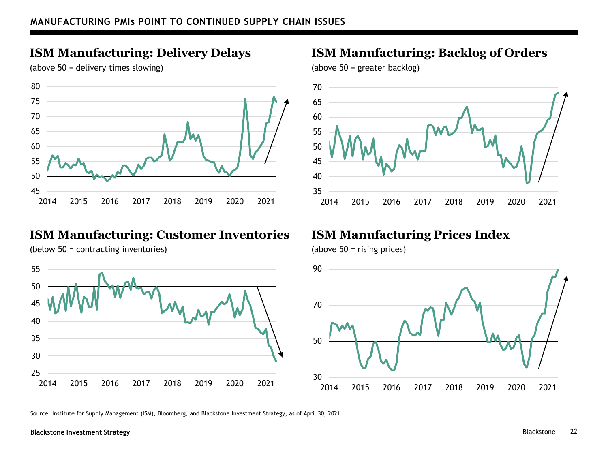## **ISM Manufacturing: Delivery Delays**

(above 50 = delivery times slowing)



#### **ISM Manufacturing: Customer Inventories**

(below 50 = contracting inventories)

#### 2015 2016 2017 2018 2019 2020 2021 2015 2016 2017 2018 2019 2020 2021

(above 50 = greater backlog)

(above 50 = rising prices)



**ISM Manufacturing: Backlog of Orders**

## **ISM Manufacturing Prices Index**



Source: Institute for Supply Management (ISM), Bloomberg, and Blackstone Investment Strategy, as of April 30, 2021.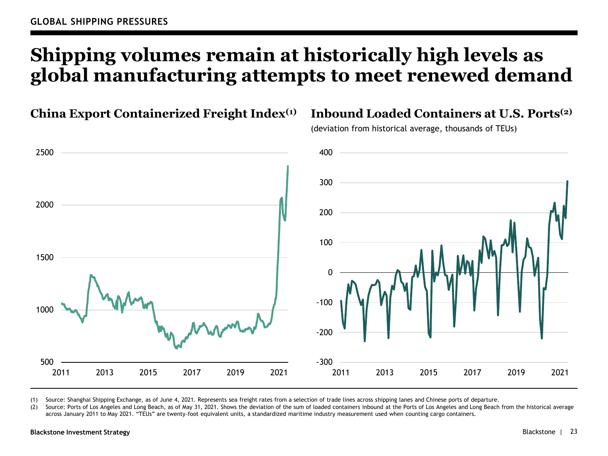# **Shipping volumes remain at historically high levels as global manufacturing attempts to meet renewed demand**



(1) Source: Shanghai Shipping Exchange, as of June 4, 2021. Represents sea freight rates from a selection of trade lines across shipping lanes and Chinese ports of departure.

(2) Source: Ports of Los Angeles and Long Beach, as of May 31, 2021. Shows the deviation of the sum of loaded containers inbound at the Ports of Los Angeles and Long Beach from the historical average across January 2011 to May 2021. "TEUs" are twenty-foot equivalent units, a standardized maritime industry measurement used when counting cargo containers.

#### **Blackstone Investment Strategy**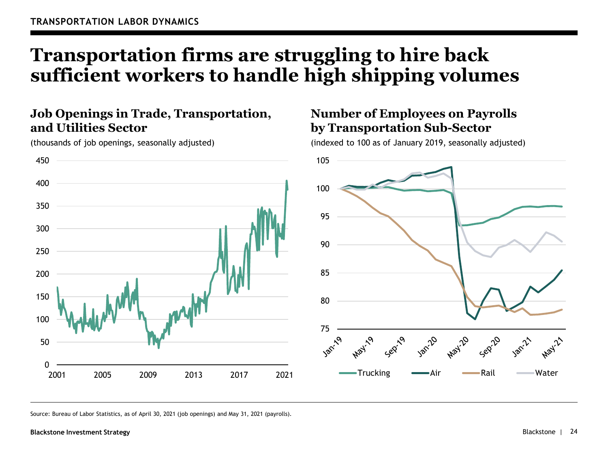## **Transportation firms are struggling to hire back sufficient workers to handle high shipping volumes**

### **Job Openings in Trade, Transportation, and Utilities Sector**



(thousands of job openings, seasonally adjusted)

### **Number of Employees on Payrolls by Transportation Sub-Sector**

(indexed to 100 as of January 2019, seasonally adjusted)



Source: Bureau of Labor Statistics, as of April 30, 2021 (job openings) and May 31, 2021 (payrolls).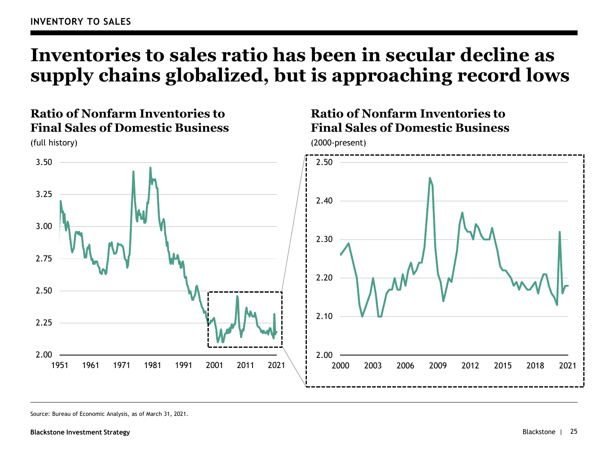# **Inventories to sales ratio has been in secular decline as supply chains globalized, but is approaching record lows**

### **Ratio of Nonfarm Inventories to Final Sales of Domestic Business**



(full history)

Source: Bureau of Economic Analysis, as of March 31, 2021.

## **Ratio of Nonfarm Inventories to Final Sales of Domestic Business**

(2000-present)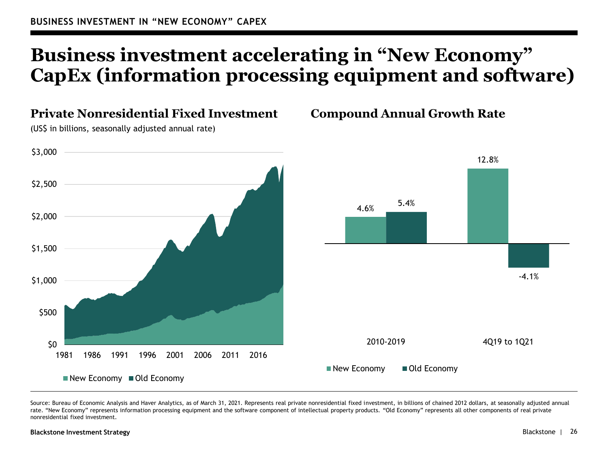# **Business investment accelerating in "New Economy" CapEx (information processing equipment and software)**



Source: Bureau of Economic Analysis and Haver Analytics, as of March 31, 2021. Represents real private nonresidential fixed investment, in billions of chained 2012 dollars, at seasonally adjusted annual rate. "New Economy" represents information processing equipment and the software component of intellectual property products. "Old Economy" represents all other components of real private nonresidential fixed investment.

#### **Blackstone Investment Strategy**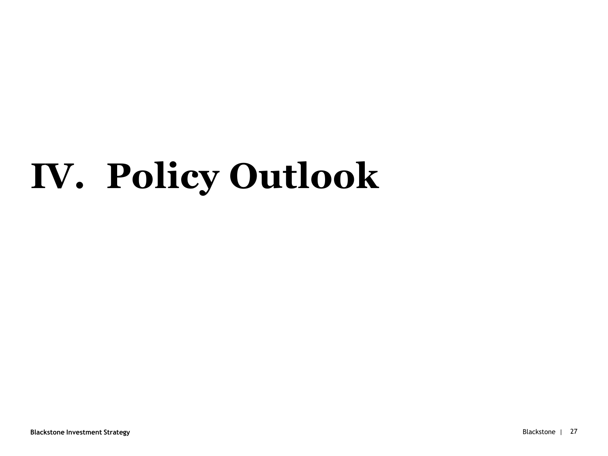# **IV. Policy Outlook**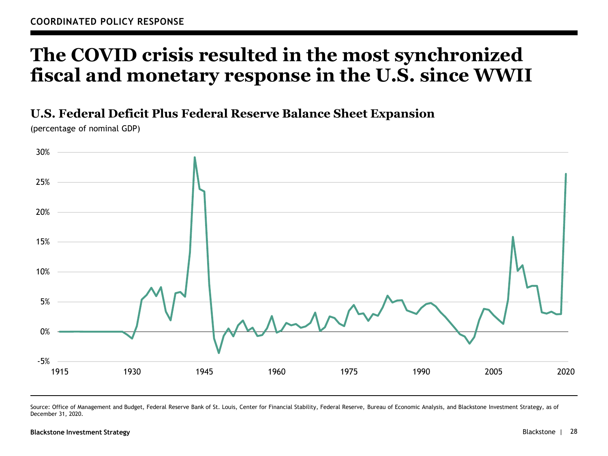## **The COVID crisis resulted in the most synchronized fiscal and monetary response in the U.S. since WWII**

#### **U.S. Federal Deficit Plus Federal Reserve Balance Sheet Expansion**

(percentage of nominal GDP)



Source: Office of Management and Budget, Federal Reserve Bank of St. Louis, Center for Financial Stability, Federal Reserve, Bureau of Economic Analysis, and Blackstone Investment Strategy, as of December 31, 2020.

#### **Blackstone Investment Strategy**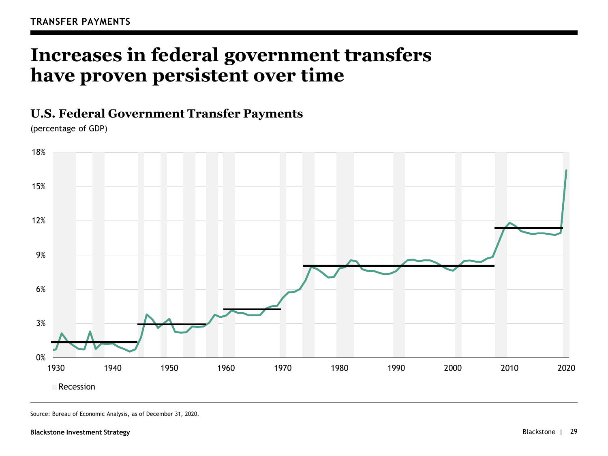## **Increases in federal government transfers have proven persistent over time**

#### **U.S. Federal Government Transfer Payments**

(percentage of GDP)



Source: Bureau of Economic Analysis, as of December 31, 2020.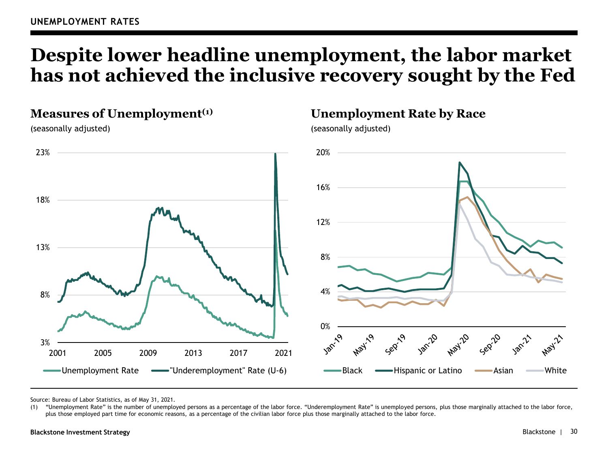## **Despite lower headline unemployment, the labor market has not achieved the inclusive recovery sought by the Fed**

#### **Measures of Unemployment(1)**

(seasonally adjusted)



Source: Bureau of Labor Statistics, as of May 31, 2021.

(1) "Unemployment Rate" is the number of unemployed persons as a percentage of the labor force. "Underemployment Rate" is unemployed persons, plus those marginally attached to the labor force, plus those employed part time for economic reasons, as a percentage of the civilian labor force plus those marginally attached to the labor force.

#### **Unemployment Rate by Race**

(seasonally adjusted)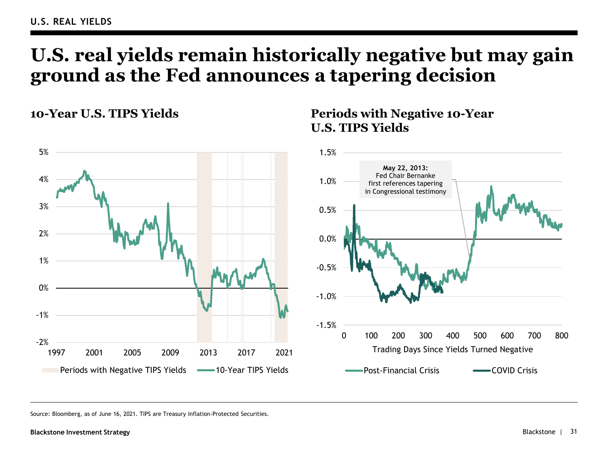## **U.S. real yields remain historically negative but may gain ground as the Fed announces a tapering decision**

**10-Year U.S. TIPS Yields**



## **Periods with Negative 10-Year U.S. TIPS Yields**

Source: Bloomberg, as of June 16, 2021. TIPS are Treasury Inflation-Protected Securities.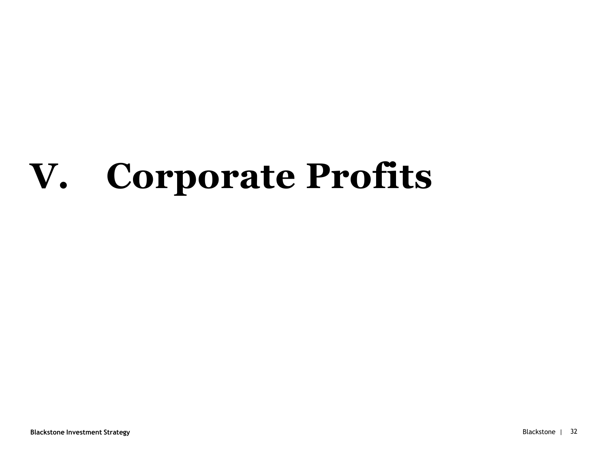# **V. Corporate Profits**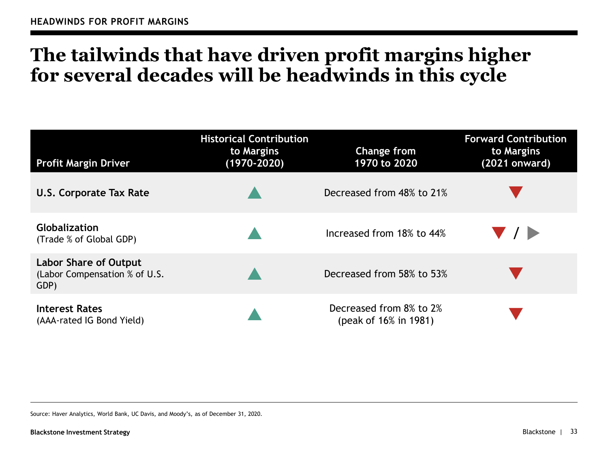# **The tailwinds that have driven profit margins higher for several decades will be headwinds in this cycle**

| <b>Profit Margin Driver</b>                                    | <b>Historical Contribution</b><br>to Margins<br>$(1970 - 2020)$ | <b>Change from</b><br>1970 to 2020               | <b>Forward Contribution</b><br>to Margins<br>(2021 onward) |
|----------------------------------------------------------------|-----------------------------------------------------------------|--------------------------------------------------|------------------------------------------------------------|
| U.S. Corporate Tax Rate                                        |                                                                 | Decreased from 48% to 21%                        |                                                            |
| <b>Globalization</b><br>(Trade % of Global GDP)                |                                                                 | Increased from 18% to 44%                        | $\blacksquare$                                             |
| Labor Share of Output<br>(Labor Compensation % of U.S.<br>GDP) |                                                                 | Decreased from 58% to 53%                        |                                                            |
| Interest Rates<br>(AAA-rated IG Bond Yield)                    |                                                                 | Decreased from 8% to 2%<br>(peak of 16% in 1981) |                                                            |

Source: Haver Analytics, World Bank, UC Davis, and Moody's, as of December 31, 2020.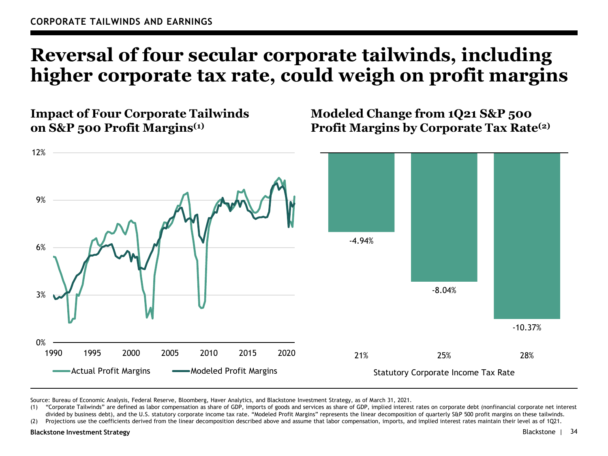## **Reversal of four secular corporate tailwinds, including higher corporate tax rate, could weigh on profit margins**

**Impact of Four Corporate Tailwinds on S&P 500 Profit Margins(1)**

**Modeled Change from 1Q21 S&P 500 Profit Margins by Corporate Tax Rate(2)**



Source: Bureau of Economic Analysis, Federal Reserve, Bloomberg, Haver Analytics, and Blackstone Investment Strategy, as of March 31, 2021.

(1) "Corporate Tailwinds" are defined as labor compensation as share of GDP, imports of goods and services as share of GDP, implied interest rates on corporate debt (nonfinancial corporate net interest divided by business debt), and the U.S. statutory corporate income tax rate. "Modeled Profit Margins" represents the linear decomposition of quarterly S&P 500 profit margins on these tailwinds.

(2) Projections use the coefficients derived from the linear decomposition described above and assume that labor compensation, imports, and implied interest rates maintain their level as of 1Q21.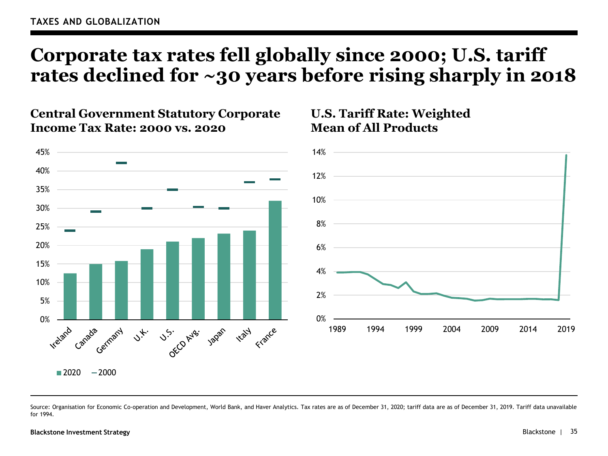## **Corporate tax rates fell globally since 2000; U.S. tariff rates declined for ~30 years before rising sharply in 2018**

**U.S. Tariff Rate: Weighted** 

**Mean of All Products**

#### **Central Government Statutory Corporate Income Tax Rate: 2000 vs. 2020**



Source: Organisation for Economic Co-operation and Development, World Bank, and Haver Analytics. Tax rates are as of December 31, 2020; tariff data are as of December 31, 2019. Tariff data unavailable for 1994.

#### **Blackstone Investment Strategy** Blackstone | 35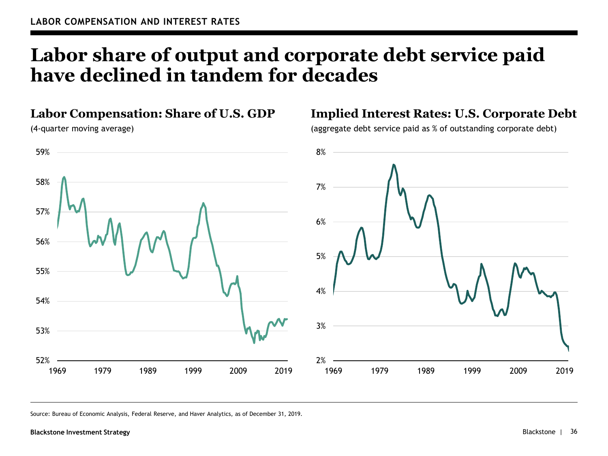## **Labor share of output and corporate debt service paid have declined in tandem for decades**

#### **Labor Compensation: Share of U.S. GDP**

(4-quarter moving average)



## **Implied Interest Rates: U.S. Corporate Debt**

(aggregate debt service paid as % of outstanding corporate debt)



Source: Bureau of Economic Analysis, Federal Reserve, and Haver Analytics, as of December 31, 2019.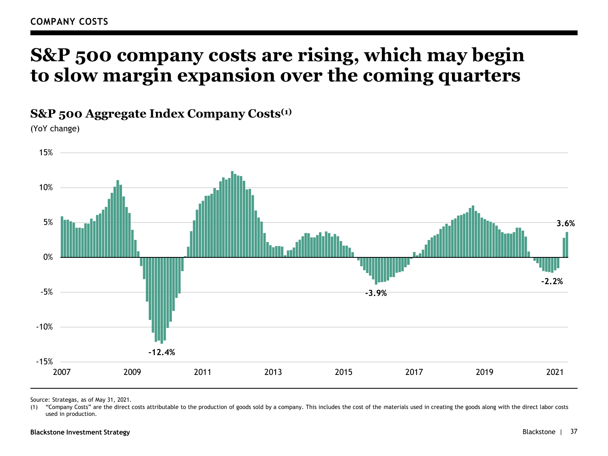## **S&P 500 company costs are rising, which may begin to slow margin expansion over the coming quarters**

**S&P 500 Aggregate Index Company Costs(1)**

(YoY change)



Source: Strategas, as of May 31, 2021.

(1) "Company Costs" are the direct costs attributable to the production of goods sold by a company. This includes the cost of the materials used in creating the goods along with the direct labor costs used in production.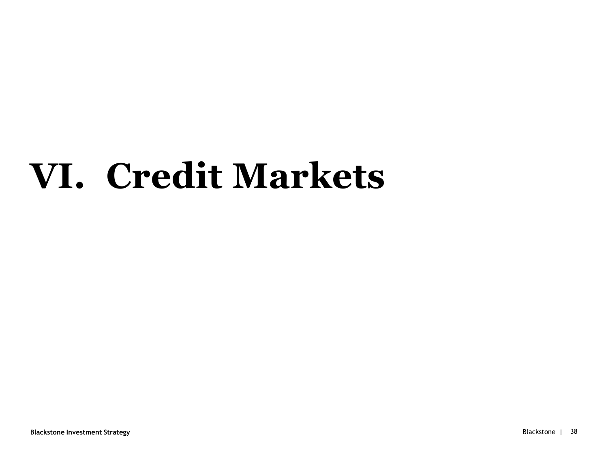# **VI. Credit Markets**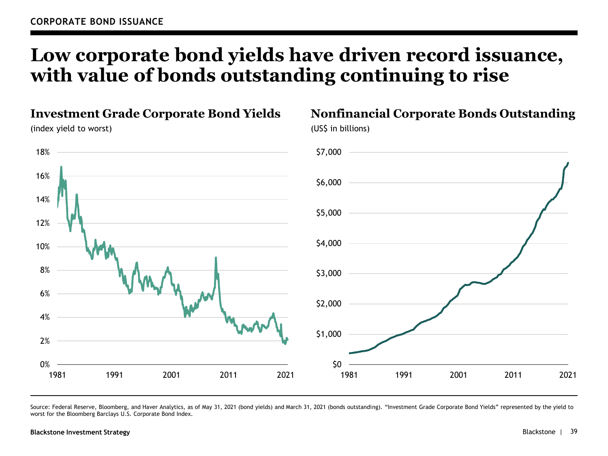## **Low corporate bond yields have driven record issuance, with value of bonds outstanding continuing to rise**



Source: Federal Reserve, Bloomberg, and Haver Analytics, as of May 31, 2021 (bond yields) and March 31, 2021 (bonds outstanding). "Investment Grade Corporate Bond Yields" represented by the yield to worst for the Bloomberg Barclays U.S. Corporate Bond Index.

#### **Blackstone Investment Strategy**

**Nonfinancial Corporate Bonds Outstanding**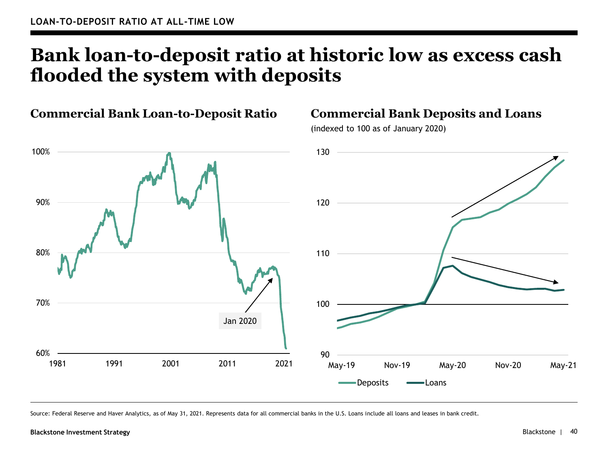## **Bank loan-to-deposit ratio at historic low as excess cash flooded the system with deposits**



**Commercial Bank Loan-to-Deposit Ratio**

Source: Federal Reserve and Haver Analytics, as of May 31, 2021. Represents data for all commercial banks in the U.S. Loans include all loans and leases in bank credit.

#### **Blackstone Investment Strategy** Blackstone |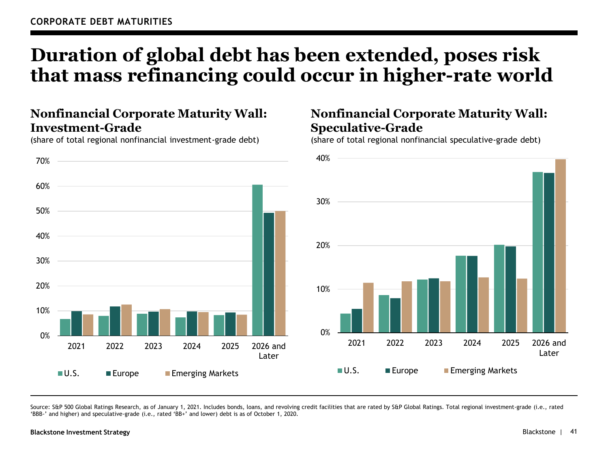## **Duration of global debt has been extended, poses risk that mass refinancing could occur in higher-rate world**

### **Nonfinancial Corporate Maturity Wall: Investment-Grade**

(share of total regional nonfinancial investment-grade debt)



### **Nonfinancial Corporate Maturity Wall: Speculative-Grade**

(share of total regional nonfinancial speculative-grade debt)



Source: S&P 500 Global Ratings Research, as of January 1, 2021. Includes bonds, loans, and revolving credit facilities that are rated by S&P Global Ratings. Total regional investment-grade (i.e., rated 'BBB-' and higher) and speculative-grade (i.e., rated 'BB+' and lower) debt is as of October 1, 2020.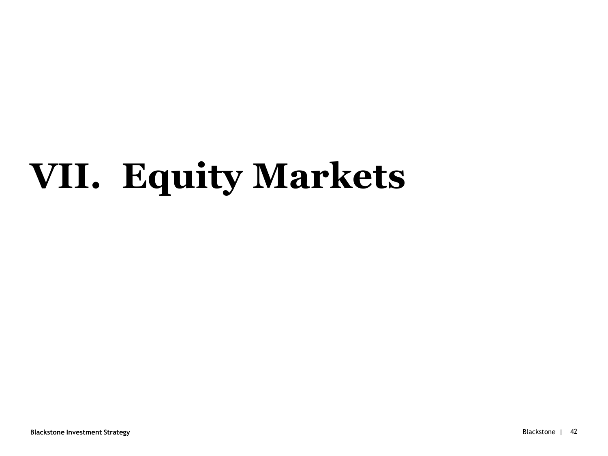# **VII. Equity Markets**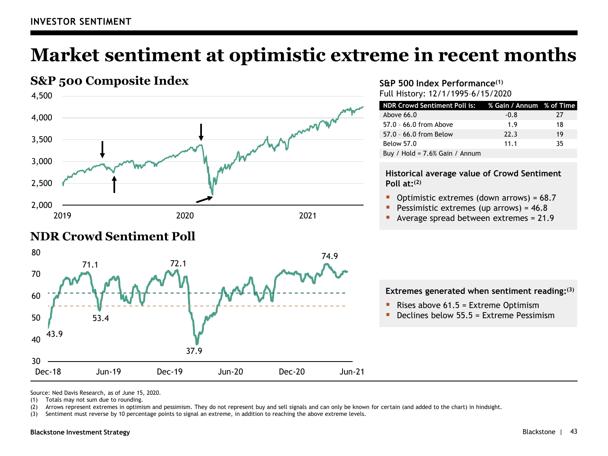## **Market sentiment at optimistic extreme in recent months**



### **NDR Crowd Sentiment Poll**



#### **S&P 500 Index Performance(1)** Full History: 12/1/1995–6/15/2020

| NDR Crowd Sentiment Poll is: 7 % Gain / Annum % of Time |        |    |
|---------------------------------------------------------|--------|----|
| Above $66.0$                                            | $-0.8$ | 27 |
| 57.0 - 66.0 from Above                                  | 1.9    | 18 |
| 57.0 - 66.0 from Below                                  | 22.3   | 19 |
| <b>Below 57.0</b>                                       | 11.1   | 35 |
| Buy / Hold = $7.6\%$ Gain / Annum                       |        |    |

#### **Historical average value of Crowd Sentiment Poll at: (2)**

- Optimistic extremes (down arrows) =  $68.7$
- Pessimistic extremes (up arrows) =  $46.8$
- Average spread between extremes = 21.9

#### **Extremes generated when sentiment reading: (3)**

- **•** Rises above  $61.5$  = Extreme Optimism
- Declines below  $55.5$  = Extreme Pessimism

Source: Ned Davis Research, as of June 15, 2020.

(1) Totals may not sum due to rounding.

(2) Arrows represent extremes in optimism and pessimism. They do not represent buy and sell signals and can only be known for certain (and added to the chart) in hindsight.

(3) Sentiment must reverse by 10 percentage points to signal an extreme, in addition to reaching the above extreme levels.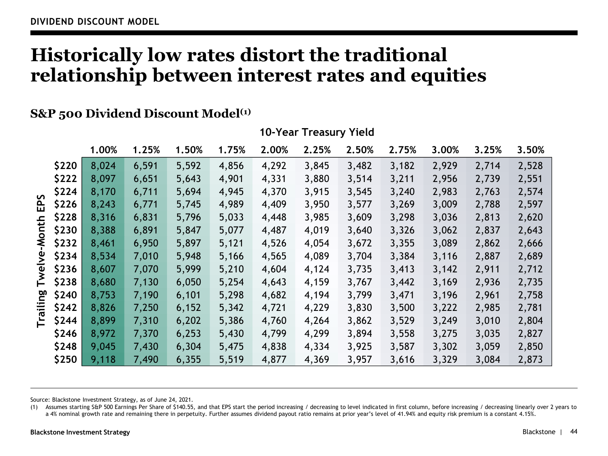## **Historically low rates distort the traditional relationship between interest rates and equities**

#### **S&P 500 Dividend Discount Model(1)**

|                 | 1.00% | 1.25% | 1.50% | 1.75% | 2.00% | 2.25% | 2.50% | 2.75% | 3.00% | 3.25% | 3.50% |
|-----------------|-------|-------|-------|-------|-------|-------|-------|-------|-------|-------|-------|
| \$220           | 8,024 | 6,591 | 5,592 | 4,856 | 4,292 | 3,845 | 3,482 | 3,182 | 2,929 | 2,714 | 2,528 |
| \$222           | 8,097 | 6,651 | 5,643 | 4,901 | 4,331 | 3,880 | 3,514 | 3,211 | 2,956 | 2,739 | 2,551 |
| \$224<br>S      | 8,170 | 6,711 | 5,694 | 4,945 | 4,370 | 3,915 | 3,545 | 3,240 | 2,983 | 2,763 | 2,574 |
| 읎<br>\$226      | 8,243 | 6,771 | 5,745 | 4,989 | 4,409 | 3,950 | 3,577 | 3,269 | 3,009 | 2,788 | 2,597 |
| \$228           | 8,316 | 6,831 | 5,796 | 5,033 | 4,448 | 3,985 | 3,609 | 3,298 | 3,036 | 2,813 | 2,620 |
| Month<br>\$230  | 8,388 | 6,891 | 5,847 | 5,077 | 4,487 | 4,019 | 3,640 | 3,326 | 3,062 | 2,837 | 2,643 |
| \$232           | 8,461 | 6,950 | 5,897 | 5,121 | 4,526 | 4,054 | 3,672 | 3,355 | 3,089 | 2,862 | 2,666 |
| ያ<br>\$234      | 8,534 | 7,010 | 5,948 | 5,166 | 4,565 | 4,089 | 3,704 | 3,384 | 3,116 | 2,887 | 2,689 |
| Twel<br>\$236   | 8,607 | 7,070 | 5,999 | 5,210 | 4,604 | 4,124 | 3,735 | 3,413 | 3,142 | 2,911 | 2,712 |
| \$238           | 8,680 | 7,130 | 6,050 | 5,254 | 4,643 | 4,159 | 3,767 | 3,442 | 3,169 | 2,936 | 2,735 |
| ဥ္မက<br>\$240   | 8,753 | 7,190 | 6,101 | 5,298 | 4,682 | 4,194 | 3,799 | 3,471 | 3,196 | 2,961 | 2,758 |
| ニ<br>て<br>\$242 | 8,826 | 7,250 | 6,152 | 5,342 | 4,721 | 4,229 | 3,830 | 3,500 | 3,222 | 2,985 | 2,781 |
| ⊨<br>\$244      | 8,899 | 7,310 | 6,202 | 5,386 | 4,760 | 4,264 | 3,862 | 3,529 | 3,249 | 3,010 | 2,804 |
| \$246           | 8,972 | 7,370 | 6,253 | 5,430 | 4,799 | 4,299 | 3,894 | 3,558 | 3,275 | 3,035 | 2,827 |
| \$248           | 9,045 | 7,430 | 6,304 | 5,475 | 4,838 | 4,334 | 3,925 | 3,587 | 3,302 | 3,059 | 2,850 |
| \$250           | 9,118 | 7,490 | 6,355 | 5,519 | 4,877 | 4,369 | 3,957 | 3,616 | 3,329 | 3,084 | 2,873 |

#### **10-Year Treasury Yield**

Source: Blackstone Investment Strategy, as of June 24, 2021.

(1) Assumes starting S&P 500 Earnings Per Share of \$140.55, and that EPS start the period increasing / decreasing to level indicated in first column, before increasing / decreasing linearly over 2 years to a 4% nominal growth rate and remaining there in perpetuity. Further assumes dividend payout ratio remains at prior year's level of 41.94% and equity risk premium is a constant 4.15%.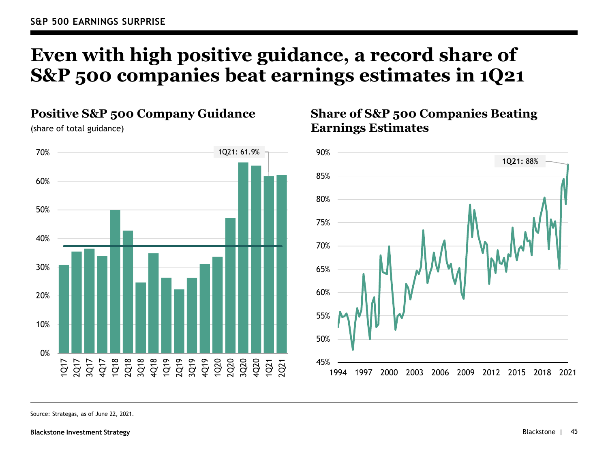# **Even with high positive guidance, a record share of S&P 500 companies beat earnings estimates in 1Q21**



## **Share of S&P 500 Companies Beating Earnings Estimates**



Source: Strategas, as of June 22, 2021.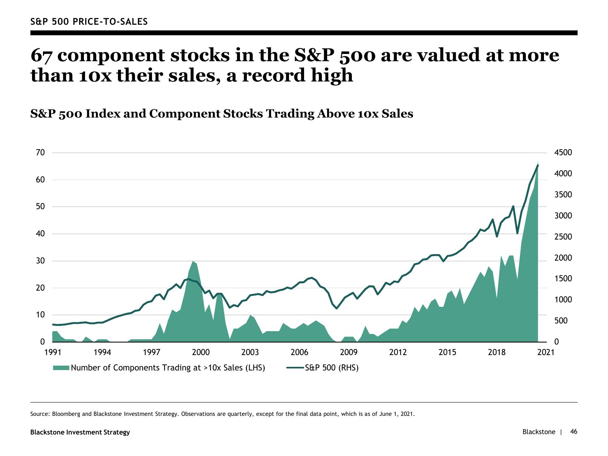## **67 component stocks in the S&P 500 are valued at more than 10x their sales, a record high**

**S&P 500 Index and Component Stocks Trading Above 10x Sales**



Source: Bloomberg and Blackstone Investment Strategy. Observations are quarterly, except for the final data point, which is as of June 1, 2021.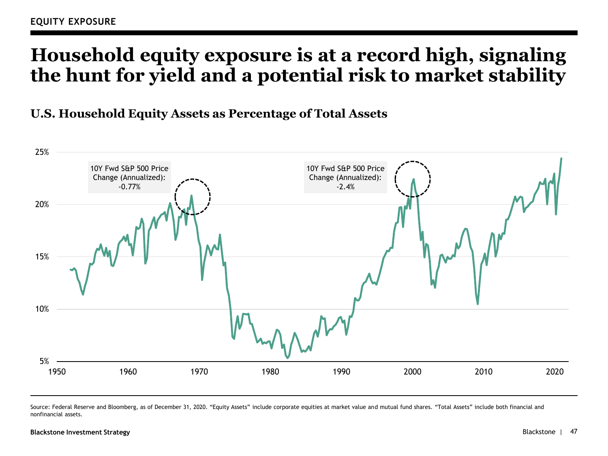# **Household equity exposure is at a record high, signaling the hunt for yield and a potential risk to market stability**

**U.S. Household Equity Assets as Percentage of Total Assets**



Source: Federal Reserve and Bloomberg, as of December 31, 2020. "Equity Assets" include corporate equities at market value and mutual fund shares. "Total Assets" include both financial and nonfinancial assets.

#### **Blackstone Investment Strategy** Blackstone | 47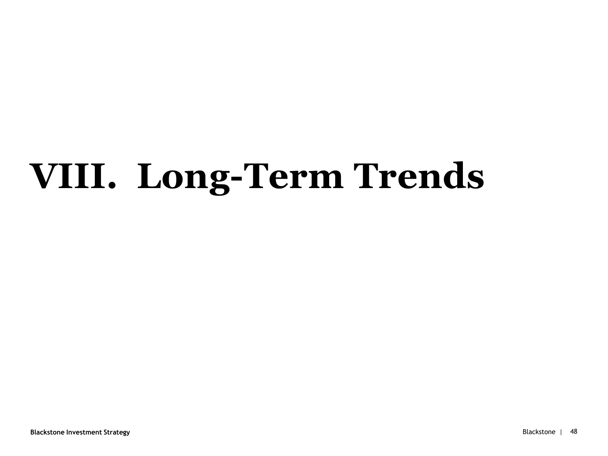# **VIII. Long-Term Trends**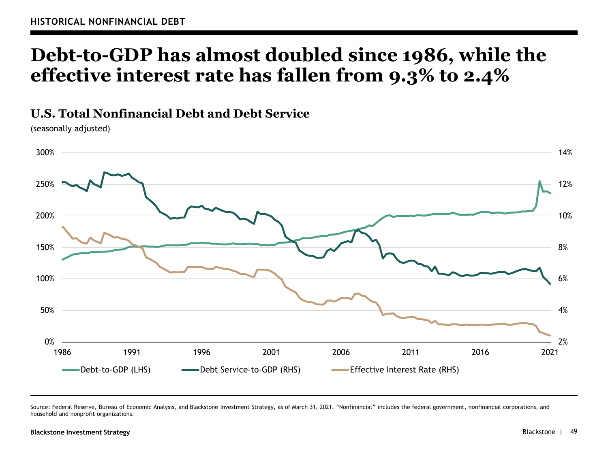## **Debt-to-GDP has almost doubled since 1986, while the effective interest rate has fallen from 9.3% to 2.4%**

**U.S. Total Nonfinancial Debt and Debt Service**

(seasonally adjusted)



Source: Federal Reserve, Bureau of Economic Analysis, and Blackstone Investment Strategy, as of March 31, 2021. "Nonfinancial" includes the federal government, nonfinancial corporations, and household and nonprofit organizations.

#### **Blackstone Investment Strategy** Blackstone |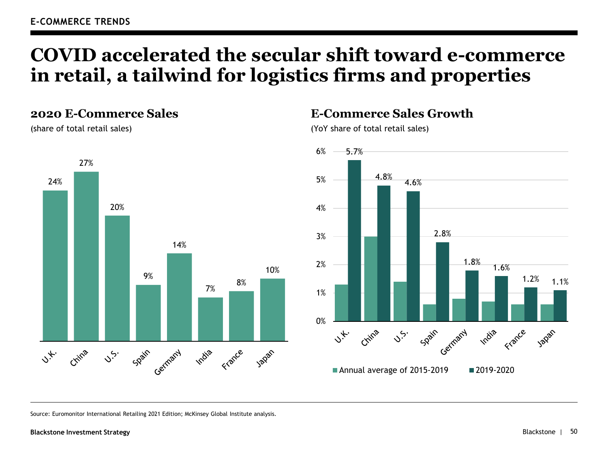## **COVID accelerated the secular shift toward e-commerce in retail, a tailwind for logistics firms and properties**

#### **2020 E-Commerce Sales**

(share of total retail sales)



#### **E-Commerce Sales Growth**

(YoY share of total retail sales)



Source: Euromonitor International Retailing 2021 Edition; McKinsey Global Institute analysis.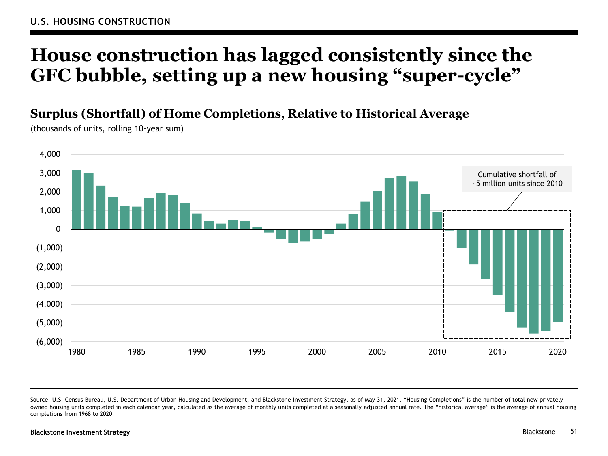## **House construction has lagged consistently since the GFC bubble, setting up a new housing "super-cycle"**

**Surplus (Shortfall) of Home Completions, Relative to Historical Average**

(thousands of units, rolling 10-year sum)



Source: U.S. Census Bureau, U.S. Department of Urban Housing and Development, and Blackstone Investment Strategy, as of May 31, 2021. "Housing Completions" is the number of total new privately owned housing units completed in each calendar year, calculated as the average of monthly units completed at a seasonally adjusted annual rate. The "historical average" is the average of annual housing completions from 1968 to 2020.